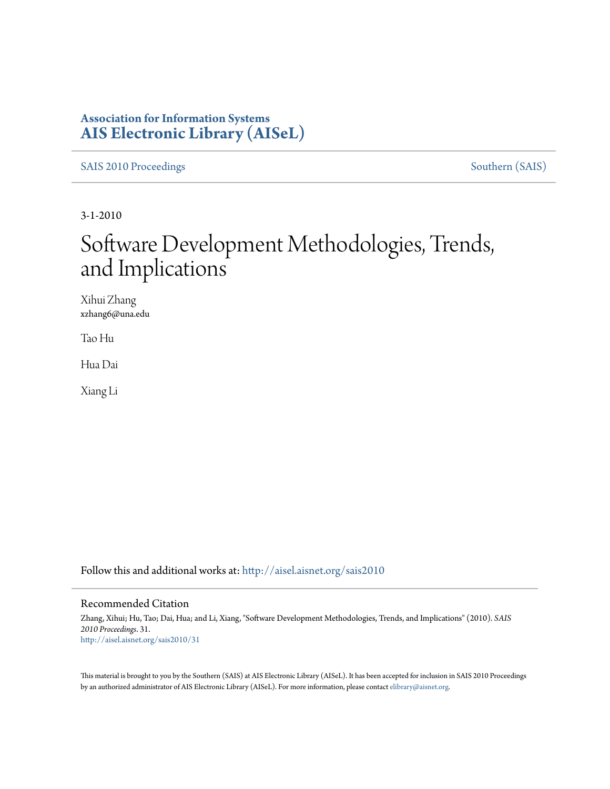### **Association for Information Systems [AIS Electronic Library \(AISeL\)](http://aisel.aisnet.org?utm_source=aisel.aisnet.org%2Fsais2010%2F31&utm_medium=PDF&utm_campaign=PDFCoverPages)**

[SAIS 2010 Proceedings](http://aisel.aisnet.org/sais2010?utm_source=aisel.aisnet.org%2Fsais2010%2F31&utm_medium=PDF&utm_campaign=PDFCoverPages) [Southern \(SAIS\)](http://aisel.aisnet.org/sais?utm_source=aisel.aisnet.org%2Fsais2010%2F31&utm_medium=PDF&utm_campaign=PDFCoverPages)

3-1-2010

# Software Development Methodologies, Trends, and Implications

Xihui Zhang xzhang6@una.edu

Tao Hu

Hua Dai

Xiang Li

Follow this and additional works at: [http://aisel.aisnet.org/sais2010](http://aisel.aisnet.org/sais2010?utm_source=aisel.aisnet.org%2Fsais2010%2F31&utm_medium=PDF&utm_campaign=PDFCoverPages)

#### Recommended Citation

Zhang, Xihui; Hu, Tao; Dai, Hua; and Li, Xiang, "Software Development Methodologies, Trends, and Implications" (2010). *SAIS 2010 Proceedings*. 31. [http://aisel.aisnet.org/sais2010/31](http://aisel.aisnet.org/sais2010/31?utm_source=aisel.aisnet.org%2Fsais2010%2F31&utm_medium=PDF&utm_campaign=PDFCoverPages)

This material is brought to you by the Southern (SAIS) at AIS Electronic Library (AISeL). It has been accepted for inclusion in SAIS 2010 Proceedings by an authorized administrator of AIS Electronic Library (AISeL). For more information, please contact [elibrary@aisnet.org](mailto:elibrary@aisnet.org%3E).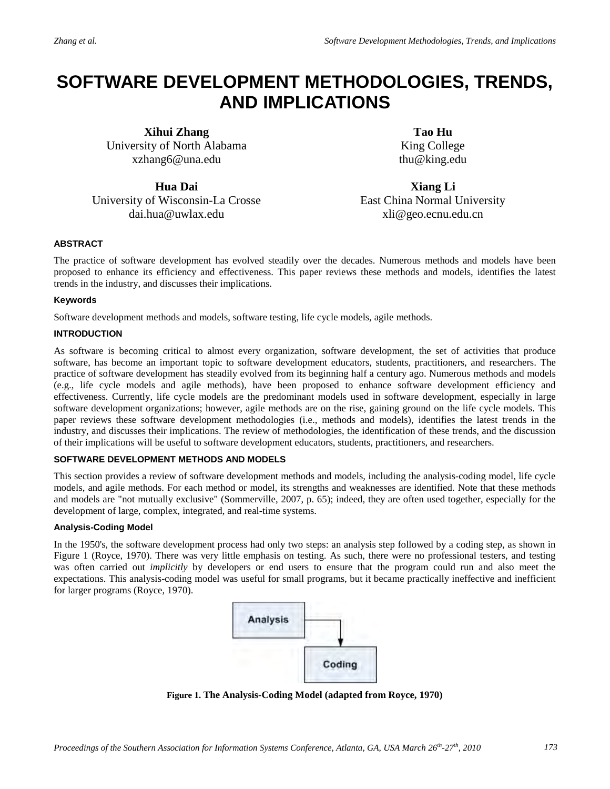## **SOFTWARE DEVELOPMENT METHODOLOGIES, TRENDS, AND IMPLICATIONS**

**Xihui Zhang** University of North Alabama xzhang6@una.edu

**Hua Dai** 

University of Wisconsin-La Crosse dai.hua@uwlax.edu

**Tao Hu** King College thu@king.edu

**Xiang Li**  East China Normal University xli@geo.ecnu.edu.cn

#### **ABSTRACT**

The practice of software development has evolved steadily over the decades. Numerous methods and models have been proposed to enhance its efficiency and effectiveness. This paper reviews these methods and models, identifies the latest trends in the industry, and discusses their implications.

#### **Keywords**

Software development methods and models, software testing, life cycle models, agile methods.

#### **INTRODUCTION**

As software is becoming critical to almost every organization, software development, the set of activities that produce software, has become an important topic to software development educators, students, practitioners, and researchers. The practice of software development has steadily evolved from its beginning half a century ago. Numerous methods and models (e.g., life cycle models and agile methods), have been proposed to enhance software development efficiency and effectiveness. Currently, life cycle models are the predominant models used in software development, especially in large software development organizations; however, agile methods are on the rise, gaining ground on the life cycle models. This paper reviews these software development methodologies (i.e., methods and models), identifies the latest trends in the industry, and discusses their implications. The review of methodologies, the identification of these trends, and the discussion of their implications will be useful to software development educators, students, practitioners, and researchers.

#### **SOFTWARE DEVELOPMENT METHODS AND MODELS**

This section provides a review of software development methods and models, including the analysis-coding model, life cycle models, and agile methods. For each method or model, its strengths and weaknesses are identified. Note that these methods and models are "not mutually exclusive" (Sommerville, 2007, p. 65); indeed, they are often used together, especially for the development of large, complex, integrated, and real-time systems.

#### **Analysis-Coding Model**

In the 1950's, the software development process had only two steps: an analysis step followed by a coding step, as shown in Figure 1 (Royce, 1970). There was very little emphasis on testing. As such, there were no professional testers, and testing was often carried out *implicitly* by developers or end users to ensure that the program could run and also meet the expectations. This analysis-coding model was useful for small programs, but it became practically ineffective and inefficient for larger programs (Royce, 1970).



**Figure 1. The Analysis-Coding Model (adapted from Royce, 1970)**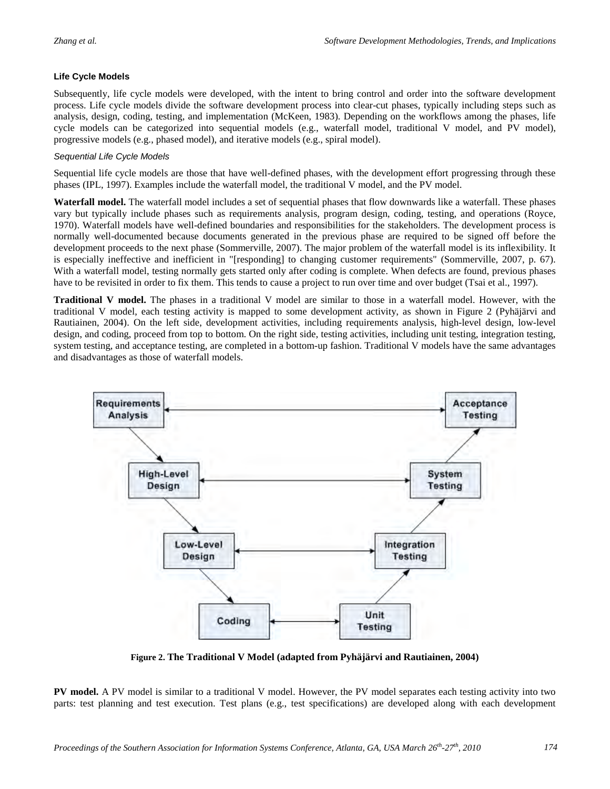#### **Life Cycle Models**

Subsequently, life cycle models were developed, with the intent to bring control and order into the software development process. Life cycle models divide the software development process into clear-cut phases, typically including steps such as analysis, design, coding, testing, and implementation (McKeen, 1983). Depending on the workflows among the phases, life cycle models can be categorized into sequential models (e.g., waterfall model, traditional V model, and PV model), progressive models (e.g., phased model), and iterative models (e.g., spiral model).

#### *Sequential Life Cycle Models*

Sequential life cycle models are those that have well-defined phases, with the development effort progressing through these phases (IPL, 1997). Examples include the waterfall model, the traditional V model, and the PV model.

**Waterfall model.** The waterfall model includes a set of sequential phases that flow downwards like a waterfall. These phases vary but typically include phases such as requirements analysis, program design, coding, testing, and operations (Royce, 1970). Waterfall models have well-defined boundaries and responsibilities for the stakeholders. The development process is normally well-documented because documents generated in the previous phase are required to be signed off before the development proceeds to the next phase (Sommerville, 2007). The major problem of the waterfall model is its inflexibility. It is especially ineffective and inefficient in "[responding] to changing customer requirements" (Sommerville, 2007, p. 67). With a waterfall model, testing normally gets started only after coding is complete. When defects are found, previous phases have to be revisited in order to fix them. This tends to cause a project to run over time and over budget (Tsai et al., 1997).

**Traditional V model.** The phases in a traditional V model are similar to those in a waterfall model. However, with the traditional V model, each testing activity is mapped to some development activity, as shown in Figure 2 (Pyhäjärvi and Rautiainen, 2004). On the left side, development activities, including requirements analysis, high-level design, low-level design, and coding, proceed from top to bottom. On the right side, testing activities, including unit testing, integration testing, system testing, and acceptance testing, are completed in a bottom-up fashion. Traditional V models have the same advantages and disadvantages as those of waterfall models.



**Figure 2. The Traditional V Model (adapted from Pyhäjärvi and Rautiainen, 2004)**

**PV model.** A PV model is similar to a traditional V model. However, the PV model separates each testing activity into two parts: test planning and test execution. Test plans (e.g., test specifications) are developed along with each development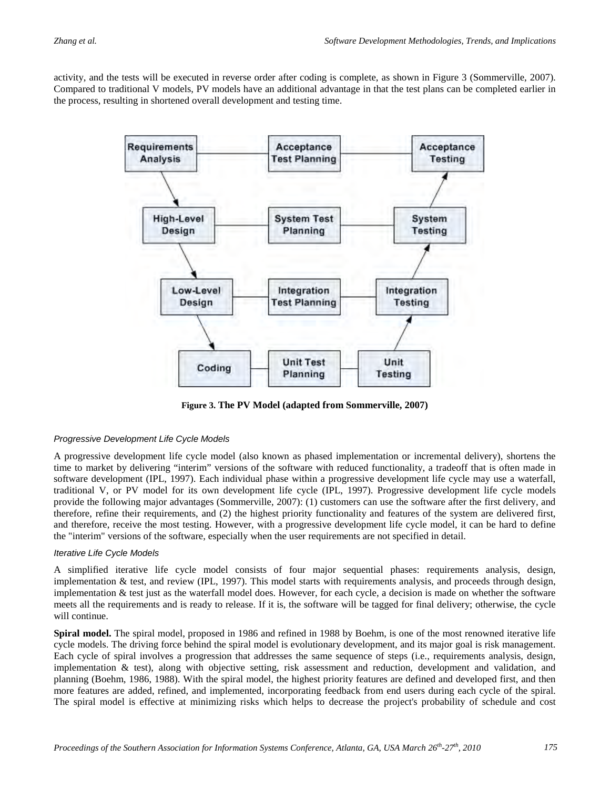activity, and the tests will be executed in reverse order after coding is complete, as shown in Figure 3 (Sommerville, 2007). Compared to traditional V models, PV models have an additional advantage in that the test plans can be completed earlier in the process, resulting in shortened overall development and testing time.



**Figure 3. The PV Model (adapted from Sommerville, 2007)**

#### *Progressive Development Life Cycle Models*

A progressive development life cycle model (also known as phased implementation or incremental delivery), shortens the time to market by delivering "interim" versions of the software with reduced functionality, a tradeoff that is often made in software development (IPL, 1997). Each individual phase within a progressive development life cycle may use a waterfall, traditional V, or PV model for its own development life cycle (IPL, 1997). Progressive development life cycle models provide the following major advantages (Sommerville, 2007): (1) customers can use the software after the first delivery, and therefore, refine their requirements, and (2) the highest priority functionality and features of the system are delivered first, and therefore, receive the most testing. However, with a progressive development life cycle model, it can be hard to define the "interim" versions of the software, especially when the user requirements are not specified in detail.

#### *Iterative Life Cycle Models*

A simplified iterative life cycle model consists of four major sequential phases: requirements analysis, design, implementation & test, and review (IPL, 1997). This model starts with requirements analysis, and proceeds through design, implementation & test just as the waterfall model does. However, for each cycle, a decision is made on whether the software meets all the requirements and is ready to release. If it is, the software will be tagged for final delivery; otherwise, the cycle will continue.

**Spiral model.** The spiral model, proposed in 1986 and refined in 1988 by Boehm, is one of the most renowned iterative life cycle models. The driving force behind the spiral model is evolutionary development, and its major goal is risk management. Each cycle of spiral involves a progression that addresses the same sequence of steps (i.e., requirements analysis, design, implementation  $\&$  test), along with objective setting, risk assessment and reduction, development and validation, and planning (Boehm, 1986, 1988). With the spiral model, the highest priority features are defined and developed first, and then more features are added, refined, and implemented, incorporating feedback from end users during each cycle of the spiral. The spiral model is effective at minimizing risks which helps to decrease the project's probability of schedule and cost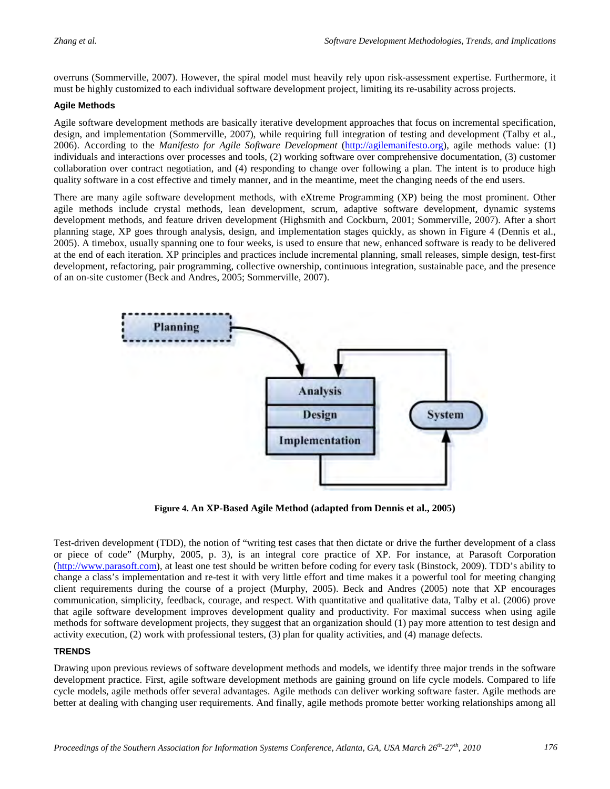overruns (Sommerville, 2007). However, the spiral model must heavily rely upon risk-assessment expertise. Furthermore, it must be highly customized to each individual software development project, limiting its re-usability across projects.

#### **Agile Methods**

Agile software development methods are basically iterative development approaches that focus on incremental specification, design, and implementation (Sommerville, 2007), while requiring full integration of testing and development (Talby et al., 2006). According to the *Manifesto for Agile Software Development* [\(http://agilemanifesto.org\)](http://agilemanifesto.org/), agile methods value: (1) individuals and interactions over processes and tools, (2) working software over comprehensive documentation, (3) customer collaboration over contract negotiation, and (4) responding to change over following a plan. The intent is to produce high quality software in a cost effective and timely manner, and in the meantime, meet the changing needs of the end users.

There are many agile software development methods, with eXtreme Programming (XP) being the most prominent. Other agile methods include crystal methods, lean development, scrum, adaptive software development, dynamic systems development methods, and feature driven development (Highsmith and Cockburn, 2001; Sommerville, 2007). After a short planning stage, XP goes through analysis, design, and implementation stages quickly, as shown in Figure 4 (Dennis et al., 2005). A timebox, usually spanning one to four weeks, is used to ensure that new, enhanced software is ready to be delivered at the end of each iteration. XP principles and practices include incremental planning, small releases, simple design, test-first development, refactoring, pair programming, collective ownership, continuous integration, sustainable pace, and the presence of an on-site customer (Beck and Andres, 2005; Sommerville, 2007).



**Figure 4. An XP-Based Agile Method (adapted from Dennis et al., 2005)**

Test-driven development (TDD), the notion of "writing test cases that then dictate or drive the further development of a class or piece of code" (Murphy, 2005, p. 3), is an integral core practice of XP. For instance, at Parasoft Corporation [\(http://www.parasoft.com\)](http://www.parasoft.com/), at least one test should be written before coding for every task (Binstock, 2009). TDD's ability to change a class's implementation and re-test it with very little effort and time makes it a powerful tool for meeting changing client requirements during the course of a project (Murphy, 2005). Beck and Andres (2005) note that XP encourages communication, simplicity, feedback, courage, and respect. With quantitative and qualitative data, Talby et al. (2006) prove that agile software development improves development quality and productivity. For maximal success when using agile methods for software development projects, they suggest that an organization should (1) pay more attention to test design and activity execution, (2) work with professional testers, (3) plan for quality activities, and (4) manage defects.

#### **TRENDS**

Drawing upon previous reviews of software development methods and models, we identify three major trends in the software development practice. First, agile software development methods are gaining ground on life cycle models. Compared to life cycle models, agile methods offer several advantages. Agile methods can deliver working software faster. Agile methods are better at dealing with changing user requirements. And finally, agile methods promote better working relationships among all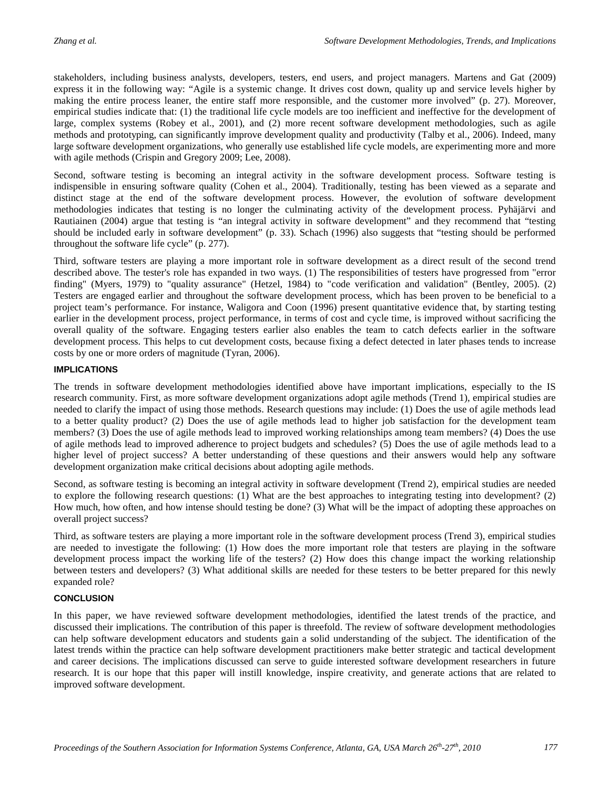stakeholders, including business analysts, developers, testers, end users, and project managers. Martens and Gat (2009) express it in the following way: "Agile is a systemic change. It drives cost down, quality up and service levels higher by making the entire process leaner, the entire staff more responsible, and the customer more involved" (p. 27). Moreover, empirical studies indicate that: (1) the traditional life cycle models are too inefficient and ineffective for the development of large, complex systems (Robey et al., 2001), and (2) more recent software development methodologies, such as agile methods and prototyping, can significantly improve development quality and productivity (Talby et al., 2006). Indeed, many large software development organizations, who generally use established life cycle models, are experimenting more and more with agile methods (Crispin and Gregory 2009; Lee, 2008).

Second, software testing is becoming an integral activity in the software development process. Software testing is indispensible in ensuring software quality (Cohen et al., 2004). Traditionally, testing has been viewed as a separate and distinct stage at the end of the software development process. However, the evolution of software development methodologies indicates that testing is no longer the culminating activity of the development process. Pyhäjärvi and Rautiainen (2004) argue that testing is "an integral activity in software development" and they recommend that "testing should be included early in software development" (p. 33). Schach (1996) also suggests that "testing should be performed throughout the software life cycle" (p. 277).

Third, software testers are playing a more important role in software development as a direct result of the second trend described above. The tester's role has expanded in two ways. (1) The responsibilities of testers have progressed from "error finding" (Myers, 1979) to "quality assurance" (Hetzel, 1984) to "code verification and validation" (Bentley, 2005). (2) Testers are engaged earlier and throughout the software development process, which has been proven to be beneficial to a project team's performance. For instance, Waligora and Coon (1996) present quantitative evidence that, by starting testing earlier in the development process, project performance, in terms of cost and cycle time, is improved without sacrificing the overall quality of the software. Engaging testers earlier also enables the team to catch defects earlier in the software development process. This helps to cut development costs, because fixing a defect detected in later phases tends to increase costs by one or more orders of magnitude (Tyran, 2006).

#### **IMPLICATIONS**

The trends in software development methodologies identified above have important implications, especially to the IS research community. First, as more software development organizations adopt agile methods (Trend 1), empirical studies are needed to clarify the impact of using those methods. Research questions may include: (1) Does the use of agile methods lead to a better quality product? (2) Does the use of agile methods lead to higher job satisfaction for the development team members? (3) Does the use of agile methods lead to improved working relationships among team members? (4) Does the use of agile methods lead to improved adherence to project budgets and schedules? (5) Does the use of agile methods lead to a higher level of project success? A better understanding of these questions and their answers would help any software development organization make critical decisions about adopting agile methods.

Second, as software testing is becoming an integral activity in software development (Trend 2), empirical studies are needed to explore the following research questions: (1) What are the best approaches to integrating testing into development? (2) How much, how often, and how intense should testing be done? (3) What will be the impact of adopting these approaches on overall project success?

Third, as software testers are playing a more important role in the software development process (Trend 3), empirical studies are needed to investigate the following: (1) How does the more important role that testers are playing in the software development process impact the working life of the testers? (2) How does this change impact the working relationship between testers and developers? (3) What additional skills are needed for these testers to be better prepared for this newly expanded role?

#### **CONCLUSION**

In this paper, we have reviewed software development methodologies, identified the latest trends of the practice, and discussed their implications. The contribution of this paper is threefold. The review of software development methodologies can help software development educators and students gain a solid understanding of the subject. The identification of the latest trends within the practice can help software development practitioners make better strategic and tactical development and career decisions. The implications discussed can serve to guide interested software development researchers in future research. It is our hope that this paper will instill knowledge, inspire creativity, and generate actions that are related to improved software development.